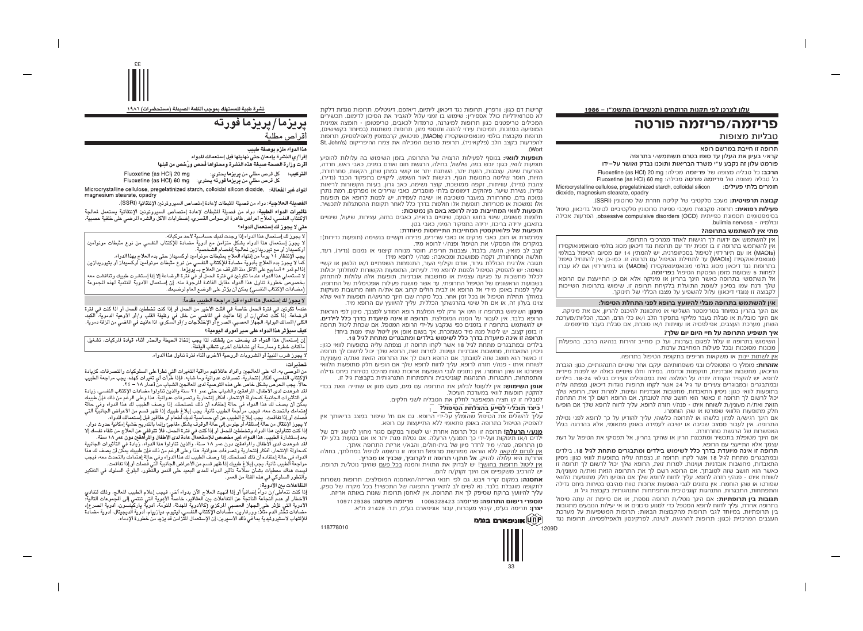עלוו לצרכו לפי תקנות הרוקחים (תכשירים) התשמ״ו – 1986

# <u>פריזמה/פריזמה פורטה</u> טבליות מצופות

תרופה זו חייבת במרשם רופא

קרא/י בעיוו את העלוו עד סופו בטרם תשתמש/י בתרופה

פורמט עלון זה נקבע ע״י משרד הבריאות ותוכנו נבדק ואושר על–ידו Fluoxetine (as HCl) 20 mg :הרכב: כל טבליה מצופה של פריזמה מכילה: Fluoxetine (as HCl) 20 חומרים בלתי פעילים: Microcrystalline cellulose, pregelatinized starch, colloidal silicon

dioxide, magnesium stearate, opadry קבוצה תרפויטית: מעכב סלקטיבי של קליטה חוזרת של סרוטונין (SSRI).

פעילות רפואית: תרופה מקבוצת מעכבי ספיגת סרוטונין סלקטיביים לטיפול בדיכאון, טיפול בסימפטומים תסמונת כפייתית (obsessive compulsive disorders (OCD), הפרעות אכילה ורולמיה - bulimia nervosa

#### מתי אין להשתמש בתרופה?

אין להשתמש אם ידועה לך רגישות לאחד ממרכיבי התרופה.

אין להשתמש בתרופה זו בו זמנית יחד עם תרופות נגד דיכאון מסוג בולמי מונואמינואוקסידז (MAOIs) או עם תיורידזיו לטיפול בסכיזופרניה. יש להמתיו 14 יום מסיום הטיפול בבולמי .<br>מונואמינואוקסידז (MAOIs) עד לתחילת הטיפול עם תרופה זו. כמו-כו איו להתחיל טיפול בתרופות נגד דיכאון מסוג בולמי מונואמינואוקסידז (MAOIs) או בתיורידזין אם לא עברו לפחות 5 שבועות מזמו הפסקת הטיפול ב**פריזמה.** 

אל תשתמשי בתרופה כאשר הינך בהריון או מיניקה אלא אם כן התייעצת עם הרופא שלך ודנת עמו בסיכון לעומת התועלת בלקיחת תרופה זו. שימוש בתרופות השייכות לקבוצה זו (נוגדי דיכאון) עלול להשפיע על מצבו הכללי של תינוקך.

#### אין להשתמש בתרופה מבלי להיוועץ ברופא לפני התחלת הטיפול:

אם הינך בהריון במיוחד בטרימסטר השלישי או מתכוונת להיכנס להריון, אם את מיניקה. אם הינר סובל/ת או סבלת בעבר מליקוי בתפקוד הלב ו/או כלי הדם. הכבד. הכליות/מערכת השתו. מערכת העצבים. אפילפסיה או עוויתות ו/או סוכרת. אם סבלת בעבר מדימומים.

## איר תשפיע התרופה על חיי היום יום שלר?

השימוש בתרופה זו עלול לפגום בערנות, ועל כו מחייב זהירות בנהיגה ברכב, בהפעלת מכונות מסוכנות ובכל פעילות המחייבת ערנות.

אין לשתות יינות או משקאות חריפים בתקופת הטיפול בתרופה.

אזהרות: מומלץ כי המטופלים ובני משפחותיהם יעקבו אחר שינויים התנהגותיים, כגון: הגברת הדיכאון, מחשבות אובדניות, תוקפנות וכדומה. במידה וחלו שינויים כאלה יש לפנות מיידית לרופא. יש להקפיד הקפדה יתרה על המלצה זאת במטופלים צעירים בגילאי 18-24. בילדים ובמתבגרים ובמבוגרים צעירים עד גיל 24 אשר לקחו תרופות נוגדות דיכאוו. נצפתה עליה בתופעות לוואי כגוו: ניסיוו התאבדות. מחשבות אובדניות ועוינות. למרות זאת, הרופא שלר יכול לרשום לר תרופה זו כאשר הוא חושר שזה לטורתר. אם הרופא רשם לר את התרופה הזאת ואת/ה מעונין/ת לשוחח איתו - פנה/י חזרה לרופא. עליך לדווח לרופא שלך אם הופיעו חלק מתופעות הלוואי שפורטו או שהן הוחמרו.

אם הינך רגיש/ה למזון כלשהו או לתרופה כלשהי, עליך להודיע על כך לרופא לפני נטילת התרופה. אין לעבור ממצב שכיבה או ישיבה לעמידה באופן פתאומי, אלא בהדרגה בגלל האפשרות של הרגשת סחרחורת.

אם הינך מטופלת בתכשיר ומתכננת הריון או שהינך בהריון, אל תפסיקי את הטיפול על דעת עצמר אלא התייעצי עם הרופא

תרופה זו אינה מיועדת בדרר כלל לשימוש בילדים ומתבגרים מתחת לגיל 18. בילדים ובמתבגרים מתחת לגיל 18 אשר לקחו תרופה זו, נצפתה עליה בתופעות לוואי כגון: ניסיון התאבדות, מחשבות אובדניות ועוינות. למרות זאת, הרופא שלך יכול לרשום לך תרופה זו כאשר הוא חושב שזה לטובתך. אם הרופא רשם לך את התרופה הזאת ואת/ה מעונין/ת לשוחח איתו - פנה/י חזרה לרופא. עליך לדווח לרופא שלך אם הופיעו חלק מתופעות הלוואי שפורטו או שהו הוחמרו. איו נתונים לגבי השפעות ארוכות טווח מהיבט בטיחות ביחס גדילה והתפתחות. התבגרות. התנהגות קוגניטיבית והתפתחות התנהגותית בקבוצת גיל זו.

**תגובות ביו תרופתיות:** אם הינר נוטל/ת תרופה נוספת. או אם סיימת זה עתה טיפול בתרופה אחרת, עליך לדווח לרופא המטפל כדי למנוע סיכונים או אי יעילות הנובעים מתגובות ביו תרופתיות. במיוחד לגבי תרופות מהקבוצות הבאות: תרופות המשפיעות על מערכת העצבים המרכזית (כגון: תרופות להרגעה, לשינה, לפרקינסון ולאפילפסיה), תרופות נגד .<br>1209D

קרישת דם כגוו: וורפריו. תרופות נגד דיכאוו. ליתיום. דיאזפם. דיגיטליס. תרופות נוגדות דלקת לא סטרואידליות כולל אספיריו. שימוש בו זמני עלול להגביר את הסיכוו לדימום. תכשירים המכילים טריפטנים כגון תרופות למיגרנה, טרמדול לכאבים, טריפטופן - חומצה אמינית המופיעה במזונות. תמיסות עירוי להזנה ותוספי מזוו. תרופות משתנות (במיוחד בקשישים). להפרעות בקצב הלב (פלקאיניד), תרופת מרשם המכילה את צמח ההיפריקום (St. John's (Wor

תופעות לוואי: בנוסף לפעילות הרצויה של התרופה, בזמן השימוש בה עלולות להופיע .<br>תופעות לוואי, כגון: יובש בפה, שלשול, בחילה, הרגשת חום ואודם בפנים, כאבי ראש, חרדה, הפרעות שינה. עצבנות. הזעת יתר. השתנת יתר או קושי במתו שתו. הקאות. סחרחורת. הזיות. חוסר שליטה בתנועות הגוף, רגישות לאור השמש, ליקויים בתפקוד הכבד (נדיר). צהבת (נדיר). עוויתות. זקפה ממושכת. קוצר נשימה. כאב גרוו. בעיות הקשורות לריאות (נדיר), נשירת שיער, פיהוקים, דימומים בלתי מוסברים, כאבי שרירים או מפרקים, רמת נתרו נמוכה בדם. סחרחורת במעבר משכיבה או ישיבה לעמידה. יש לפנות לרופא אם תופעות תופעות לוואי המחיירות פניה לרופא ראם הו נמשכות:

חלומות משונים שינוי בחוש הנועם שינויים בראייה בארים בחזה עצירות שיעול שינויים בתאבוו. ירידה בריכוז. ירידה בתפקוד המיני. כאבי בטו.

תופעות של פלואוקסטין המחייבות התייחסות מיוחדת:

צמרמורת או חום, כאבי פרקים או כאבי שרירים, פריחה וקשיים בנשימה (תופעות נדירות): במקרים אלו הפסק/י את הטיפול ופנה/י לרופא מיד.

קצב לב מואץ. הזעה, בלבול, עצבנות חריפה, חוסר מנוחה קיצוני או נמנום (נדיר), רעד. חולשה וסחרחורת. זקפה ממושכת ומכאיבה: פנה/י לרופא מיד! תגורה אלרגית הכוללת גירוד. אודם וקילוף העור. התנפחות השפתיים ו/או הלשוו או קשיי נשימה: יש להפסיק הטיפול ולפנות לרופא מיד. לעיתים. התופעות הקשורות למחלתר יכולות לכלול מחשבות על פגיעה עצמית או מחשבות אובדניות. תופעות אלה עלולות להתחזק .<br>בשבועות הראשונים של הטיפול התרופתי, עד אשר מושגת פעילות אופטימלית של התרופה.

עליר לפנות באופו מיידי אל הרופא או לבית חולים קרוב אם את/ה חווה מחשבות מעיקות במהלך תחילת הטיפול או בכל זמן אחר. בכל מקרה שבו הינך מרגיש/ה תופעות לוואי שלא צוינו בעלון זה, או אם חל שינוי בהרגשתך הכללית, עליך להיוועץ עם הרופא מיד.

מינון: השימוש בתרופה זו הינו אך ורק לפי המלצת רופא המודע למצבך. מינון לפי הוראות הרופא בלבד. אין לעבור על המנה המומלצת. **תרופה זו אינה מיועדת בדרך כלל לילדים.** ש להשתמש בתרופה זו בזמנים כפי שנקבע על-ידי הרופא המטפל. אם שכחת ליטול תרופה זו בזמן קצוב, יש ליטול מנה מיד כשנזכרת, אך בשום אופן אין ליטול שתי מנות ביחד!

תרופה זו אינה מיועדת בדרך כלל לשימוש בילדים ומתבגרים מתחת לגיל 18. בילדים ובמתבגרים מתחת לגיל 18 אשר לקחו תרופה זו, נצפתה עליה בתופעות לוואי כגון: ניסיוו התאבדות. מחשבות אובדניות ועוינות. למרות זאת. הרופא שלר יכול לרשום לר תרופה זו כאשר הוא חושב שזה לטובתך. אם הרופא רשם לך את התרופה הזאת ואת/ה מעונין/ת לשוחח איתו - פנה/י חזרה לרופא. עליר לדווח לרופא שלר אם הופיעו חלק מתופעות הלוואי שפורטו או שהן הוחמרו. אין נתונים לגבי השפעות ארוכות טווח מהיבט בטיחות ביחס גדילה והתפתחות, התבגרות, התנהגות קוגניטיבית והתפתחות התנהגותית בקבוצת גיל זו.

אופן השימוש: אין ללעוס! לבלוע את התרופה עם מים, מעט מזון או שתייה וזאת בכדי להקטין תופעות לוואי במערכת העיכול.

לטבליה זו קו חציה המאפשר לחלק את הטבליה לשני חלקים.

כיצד תוכל/י לסייע בהצלחת הטיפול?

עליך להשלים את הטיפול שהומלץ על-ידי הרופא. גם אם חל שיפור במצב בריאותך אין להפסיק הטיפול בתרופה באופן פתאומי ללא התייעצות עם רופא.

מנע/י הרעלה! תרופה זו וכל תרופה אחרת יש לשמור במקום סגור מחוץ להישג ידם של לדים ו/או תינוקות ועל-ידי כר תמנע/י הרעלה. אם נטלת מנת יתר או אם בטעות בלע ילד מן התרופה, פנה/י מיד לחדר מיון של בית-חולים, והבא/י אריזת התרופה איתך.

אין לגרום להקאה ללא הוראה מפורשת מרופא! תרופה זו נרשמה לטיפול במחלתך, בחולה .<br>אחר/ת היא עלולה להזיק. אל תתן/י תרופה זו לקרוביך, שכניך או מכריך.

<u>אין ליטול תרופות בחושר</u>! יש לבדוק את התווית והמנה <u>בכל פעם</u> שהינך נוטל/ת תרופה. וע להרריר מועקפיים אם הינר זקוק/ה להם

**אחסנה:** במקום קריר ויבש. גם לפי תנאי האריזה/האחסנה המומלצים. תרופות נשמרות עליך להיוועץ ברוקח שסיפק לך את התרופה. אין לאחסן תרופות שונות באותה אריזה.

מספרי רישום התרופה: פריזמה: 1006328423 פריזמה פורטה: 1097129386 **יצרן:** תרימה בע״מ, קיבוץ מעברות, עבור אוניפארם בע״מ, ת.ד. 21429 ת״א.

יווניפארם בננימΩ∭אוניפ

نشر ة طبية للمستقلك بموجب أنظمة الصيدلة (مستحضر ات) ١٩٨٦

# بر بزما/ بر بزما قور ته أقراص مطلية

### مذا الدواء ملزم بوصفة طبيب

إقرأ/ي النشرة بإمعان حتى نهايتها قبل إستعمالك للدواء قرت وزارة الصحة صيغة هذه النشرة ومحتواها فُحص ورُخص من قبلها

Fluoxetine (as HCI) 20 mg ا**لتركيب:** كل قرص مطلى من **يريزما** يحتوى: كلَّ قرَصَ مطليٍّ منْ يُرِيّزُما فَورتَه ّبِحترى: Fluoxetine (as HCl) 60 mg

لم اد غير الفعالة: . Microcrystalline cellulose, pregelatinized starch, colloidal silicon dioxide, magnesium stearate, opadr

لفصيلة العلاجية: دواء من فصيلة الشطات لإعادة إمتصاص السيروتونين الإنتقائية (SSRI). تأثيرات الدواء الطبية: دواء من فصيلة الثبطات لإعادة إمتصاص السيروتونين الإنتقائية يستعمل لمالجة الإكتَّتَاب النفسي، لعلاَّج أعراض ظاهرة الوسواس القسرى، إضطرابات الأكلَّ والشره الرضى على خلفية عصبية.

# ٿي لا يجوز لك إستعمال الدواء؟

.<br>: يجوز لك إستعمال هذا الدواء إذا وجدت لديك حساسية لأحد مركباته. يجوز إستعمال هذا الدواء بشكل متزامن مع أدوية مضادة للإكتئاب النفسي من نوع مثبطات مونوأمين

<sub>د</sub>كسيدار أو مع تيورپدارين لمعالجة إنفصـام الشـخصـي

جب الإنتظار ٢٤ يوماً من إنتهاء العلاج بمثبطات مونوامين اوكسيدان حتى بدء العلاج بهذا الدواء. ساً لا يُجوز بدء العلاج بِأَدوية مضادة للإكتئاب النفسي من نوع مثبطات مونوامين أوكسيداز أو بتيوريدازين .<br>ذا لم تمر ٥ أسابيع على الأقلّ منذ التوقف عن العلاج بــ يريزها.

ّ تستعملي هذا الدواء عندما تكونين في فترة الحمل"و. في قترة الرضاعة إلا إذا إستشرت طبيبك وتناقشت معه<br>خصوص خطورة تناول هذا الدواء مقابل الفائدة الرجوة منه. إن إستعمال الأدوية المنتمية لهذه الجموعة مضادات الإكتئاب النفسي) يمكن أن يؤثر على الوضع العام لرضيعك.

## لا يجوز لك إستعمال هذا الدواء قبل مراجعة الطبيب مقدماً:

مندما تكونين في فترة الحمل خاصة في الثلث الأخير من الحمل أو إذا كنت تخططين للحمل أو اذا كنت فى فترة . و. " المساحة التي تعالى / أو إذا عانيت في الناضي من خلل في وطلقة القلب و." مستمرت مست .<br>الرضاعة. [ذا كلّت تعاني/ن أو إذا عانيت في الماضي من خلل في وطلقة القلب و/أو الأوعية القدمين .<br>الكلى/المسالك البولية، الجهاز العصبي،

# كيف سيؤثر هذا الدواء على سير أمورك اليومية؟

ن إستعمال هذا الدواء قد يضعف من يقظتك، لذا يجب إتخاذ الحيطة والحذر أثناء قيادة المركبات، تشغيل باكنات خطرة وممارسة أى نشاطات أخرى تتطلب البقظة.

' يجوز شرب النبيذ أو الشروبات الروحية الأخرى أثناء فترة تناول هذا الدواء.

# نحذيرات:

.<br>ن الموصىي به، أنه على المعالجين وأفراد عائلاتهم مراقبة التغيرات التي تطرأ على السلوكيات والتصرفات، كزيادة لإكتِئاب النفسي، أفكار إنتحارية، تصرفات عدوانية وما شابه. فإذا طرَّات أي تغيرات كهذه، يجب مراجعة الطبيب مالاً. يجب الحرض بشكل خاص على هذه التوصية لدى المالجين الشباب من أعمار ١٨ – ٢٤.

لقد شوهدت لدى الأطفال، المراهقين والشباب حتى عمر ٢٤ سنةً والذين تتاولوا مضادات الإكتئاب النفسي، زيادة ﻰ اﻟﺘﺄﺛﻴﺮات اﻟﺠﺎﻧﺒﻴﺔ ﻛﻤﺤﺎﻭﻟَّﺔ اﻹَّﻧﺘﺤﺎﺭ، ﺃﻓﻜﺎﺭ ﺇﻧﺘﺤﺎﺭﻳﺔ ﻭﺗﺼﺮﻓﺎﺕ ﻋﺪُّﻭﺍﻧﻴﺔ. ﻫﺬا ﻭﻋﻠﻰ اﻟﺮﻏَﻢ ﻣﻦ ﺫﻟﻚ ﻓﺈنَّ طبيبك مكن أن يصف لك هذا الدوّاء في حالة إعتقاده أن ذلك لمصلحتك. إذا وصف الطّبيب لك هذا الدواء وفي حالة هتمامك بالتحدث معه، فيجب مرأَّجعة الطبيب ثانيةً. يجب إبلاغ طبيبك إذا ظهر قسم من الأعراض الجانبيَّة التي فَصلت أو إذا تفاقمت. يجب إبلاغ الطبيب عن أي حساسية لديك لطعام أو عقاقير قبل إستعمالك للدواء.

لا يجوز الإنتقال من حالة إستلقاء أو جلوس إلى حالة الوقوف بشكل مفاجئ وإنما بالتدريج خشية إمكانية حدوث دوار. إذا كنت تتَّناولين هذا الدواء وتخططين للحمل أو إذا كنت في فترة الحمل، فلا تتوقفي عن العلاج من تلقاء نفسك إلا حد إستشارة الطبيب. هذا الدواء غير مخصص للإستعمال عادة لدى الأطفال والرأهقين دون عمر ١٨ سنة.

قد شوهدت لدى الأطفال والراهقين دون عمر ١٨ سنة، والذين تناولوا هذا الدواء، ريّادة في التأثيرات الجانبية كمحاولة الإنتحار، أفكار إنتحارية وتصرفات عدوانية. هذا وعلى الرغم من ذلك فإن طبيبك يمكِّن أن يصف لك هذا الدواء في حالة إعتقاده أن ذلك لمسلّحتك. إذا وصفّ الطبيب لك هذا الدواء وفي حالة إمتماءك بالتحدث معه، فيجب<br>مراجعة الطبيب ثانية. يجب إبلاغ طبيبك إذا ظهر قسم من الأعراض الجانبية التي فُصلت أو إذا تفاقمت. يست هناك معطيات بشأن سلَّامة تأثير الدواء للمدى البعيد على النموِّ والتَّطور، البلوغ، السلوك في التفكير

والتطور السلوكي في هذه الفئة من العمر.

# التفاعلات ببن الأدوية:

إذا كنت تتعالَّمي/ن َّدواءً إضافياً أو إذا أنهيت العلاج الآن بدواء آخرٍ، فيجب إعلام الطبيب المعالج، وذلك لتفادي ء - مستحد المستحد بن من السعب الوزر السعب المسترد الذي المستحد السود المستحد المستحد المستحدة والمستحدي المستح<br>الأخطار أو عدم النجاعة الثانجة عن التقاعلات بين العقاقير، خاصة الأدوية التي تنتمي إلى الجموعات التالية:<br>الأدوي مضاّدات تخَّثْر الدِّم مثَلاً: وورفارين، مضّادات الإِكتُتاب النَّفْسي، ليتيوم، ديازيپام، أدوية الديجيتال، أدوية مضادة<br>للإلتهاب لاستيروئيدية بما في ذلك الأسپرين: إن الإستعمال المزامن قد يزيد من خطورة الإدماء.

118778010